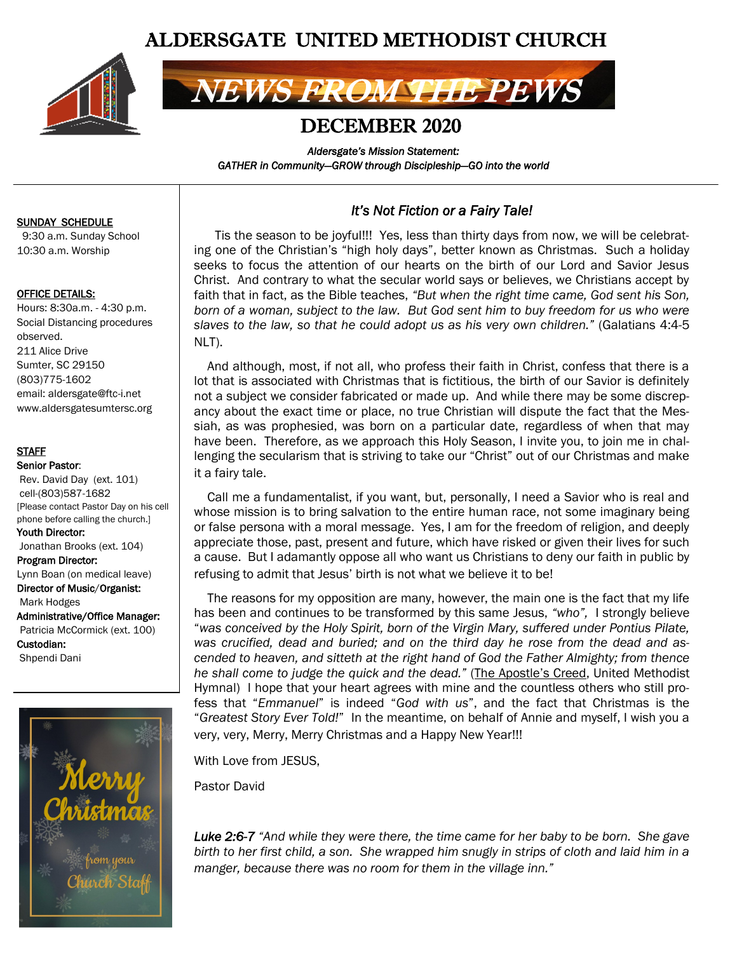# ALDERSGATE UNITED METHODIST CHURCH



# NEWS FROM THE PEWS

## DECEMBER 2020

*Aldersgate's Mission Statement: GATHER in Community—GROW through Discipleship—GO into the world* 

#### SUNDAY SCHEDULE

 9:30 a.m. Sunday School 10:30 a.m. Worship

#### OFFICE DETAILS:

Hours: 8:30a.m. - 4:30 p.m. Social Distancing procedures observed. 211 Alice Drive Sumter, SC 29150 (803)775-1602 email: aldersgate@ftc-i.net www.aldersgatesumtersc.org

#### **STAFF**

Senior Pastor: Rev. David Day (ext. 101) cell-(803)587-1682 [Please contact Pastor Day on his cell phone before calling the church.] Youth Director: Jonathan Brooks (ext. 104) Program Director: Lynn Boan (on medical leave) Director of Music/Organist: Mark Hodges Administrative/Office Manager: Patricia McCormick (ext. 100) Custodian: Shpendi Dani



### *It's Not Fiction or a Fairy Tale!*

 Tis the season to be joyful!!! Yes, less than thirty days from now, we will be celebrating one of the Christian's "high holy days", better known as Christmas. Such a holiday seeks to focus the attention of our hearts on the birth of our Lord and Savior Jesus Christ. And contrary to what the secular world says or believes, we Christians accept by faith that in fact, as the Bible teaches, *"But when the right time came, God sent his Son, born of a woman, subject to the law. But God sent him to buy freedom for us who were slaves to the law, so that he could adopt us as his very own children."* (Galatians 4:4-5 NLT).

 And although, most, if not all, who profess their faith in Christ, confess that there is a lot that is associated with Christmas that is fictitious, the birth of our Savior is definitely not a subject we consider fabricated or made up. And while there may be some discrepancy about the exact time or place, no true Christian will dispute the fact that the Messiah, as was prophesied, was born on a particular date, regardless of when that may have been. Therefore, as we approach this Holy Season, I invite you, to join me in challenging the secularism that is striving to take our "Christ" out of our Christmas and make it a fairy tale.

 Call me a fundamentalist, if you want, but, personally, I need a Savior who is real and whose mission is to bring salvation to the entire human race, not some imaginary being or false persona with a moral message. Yes, I am for the freedom of religion, and deeply appreciate those, past, present and future, which have risked or given their lives for such a cause. But I adamantly oppose all who want us Christians to deny our faith in public by refusing to admit that Jesus' birth is not what we believe it to be!

 The reasons for my opposition are many, however, the main one is the fact that my life has been and continues to be transformed by this same Jesus, *"who",* I strongly believe "*was conceived by the Holy Spirit, born of the Virgin Mary, suffered under Pontius Pilate, was crucified, dead and buried; and on the third day he rose from the dead and ascended to heaven, and sitteth at the right hand of God the Father Almighty; from thence he shall come to judge the quick and the dead."* (The Apostle's Creed, United Methodist Hymnal) I hope that your heart agrees with mine and the countless others who still profess that "*Emmanuel*" is indeed "*God with us*", and the fact that Christmas is the "*Greatest Story Ever Told!*" In the meantime, on behalf of Annie and myself, I wish you a very, very, Merry, Merry Christmas and a Happy New Year!!!

With Love from JESUS,

Pastor David

*Luke 2:6-7 "And while they were there, the time came for her baby to be born. She gave birth to her first child, a son. She wrapped him snugly in strips of cloth and laid him in a manger, because there was no room for them in the village inn."*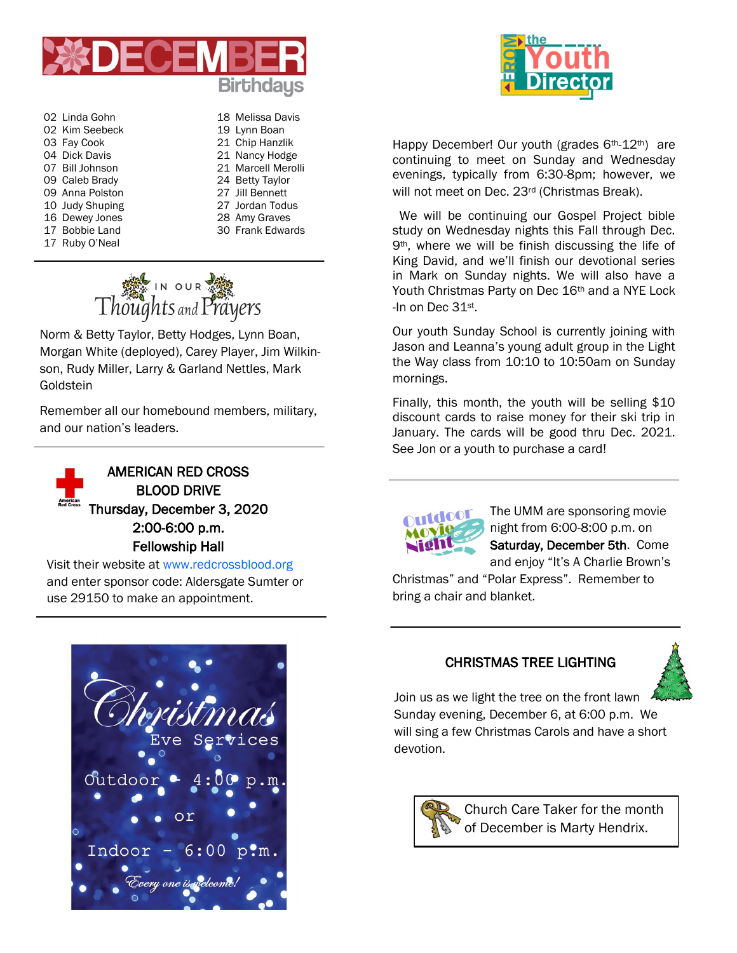

- 02 Linda Gohn 18 Melissa Davis 02 Kim Seebeck 19 Lynn Boan 03 Fay Cook 21 Chip Hanzlik 04 Dick Davis 21 Nancy Hodge 09 Caleb Brady 24 Betty Taylor 09 Anna Polston 27 Jill Bennett 10 Judy Shuping 27 Jordan Todus 16 Dewey Jones 28 Amy Graves 17 Bobbie Land 30 Frank Edwards 17 Ruby O'Neal
- 07 Bill Johnson 21 Marcell Merolli



Norm & Betty Taylor, Betty Hodges, Lynn Boan, Morgan White (deployed), Carey Player, Jim Wilkinson, Rudy Miller, Larry & Garland Nettles, Mark Goldstein

Remember all our homebound members, military, and our nation's leaders.



Visit their website at www.redcrossblood.org and enter sponsor code: Aldersgate Sumter or use 29150 to make an appointment.



Happy December! Our youth (grades 6<sup>th</sup>-12<sup>th</sup>) are continuing to meet on Sunday and Wednesday evenings, typically from 6:30-8pm; however, we will not meet on Dec. 23<sup>rd</sup> (Christmas Break).

We will be continuing our Gospel Project bible study on Wednesday nights this Fall through Dec. 9<sup>th</sup>, where we will be finish discussing the life of King David, and we'll finish our devotional series in Mark on Sunday nights. We will also have a Youth Christmas Party on Dec 16<sup>th</sup> and a NYE Lock -In on Dec 31st.

Our youth Sunday School is currently joining with Jason and Leanna's young adult group in the Light the Way class from 10:10 to 10:50am on Sunday mornings.

Finally, this month, the youth will be selling \$10 discount cards to raise money for their ski trip in January. The cards will be good thru Dec. 2021. See Jon or a youth to purchase a card!



The UMM are sponsoring movie night from 6:00-8:00 p.m. on Saturday, December 5th. Come and enjoy "It's A Charlie Brown's

Christmas" and "Polar Express". Remember to bring a chair and blanket.

## CHRISTMAS TREE LIGHTING



Join us as we light the tree on the front lawn Sunday evening, December 6, at 6:00 p.m. We will sing a few Christmas Carols and have a short devotion.



Church Care Taker for the month of December is Marty Hendrix.